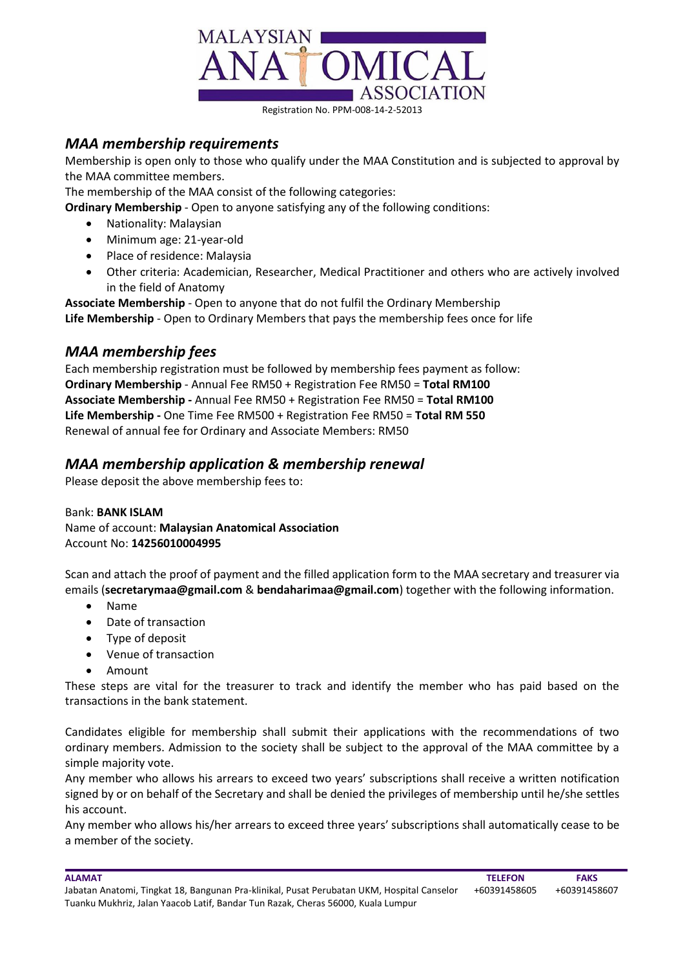

#### Registration No. PPM-008-14-2-52013

#### *MAA membership requirements*

Membership is open only to those who qualify under the MAA Constitution and is subjected to approval by the MAA committee members.

The membership of the MAA consist of the following categories:

**Ordinary Membership** - Open to anyone satisfying any of the following conditions:

- Nationality: Malaysian
- Minimum age: 21-year-old
- Place of residence: Malaysia
- Other criteria: Academician, Researcher, Medical Practitioner and others who are actively involved in the field of Anatomy

**Associate Membership** - Open to anyone that do not fulfil the Ordinary Membership **Life Membership** - Open to Ordinary Members that pays the membership fees once for life

## *MAA membership fees*

Each membership registration must be followed by membership fees payment as follow: **Ordinary Membership** - Annual Fee RM50 + Registration Fee RM50 = **Total RM100 Associate Membership -** Annual Fee RM50 + Registration Fee RM50 = **Total RM100 Life Membership -** One Time Fee RM500 + Registration Fee RM50 = **Total RM 550** Renewal of annual fee for Ordinary and Associate Members: RM50

## *MAA membership application & membership renewal*

Please deposit the above membership fees to:

Bank: **BANK ISLAM** Name of account: **Malaysian Anatomical Association** Account No: **14256010004995**

Scan and attach the proof of payment and the filled application form to the MAA secretary and treasurer via emails (**secretarymaa@gmail.com** & **bendaharimaa@gmail.com**) together with the following information.

- Name
- Date of transaction
- Type of deposit
- Venue of transaction
- Amount

These steps are vital for the treasurer to track and identify the member who has paid based on the transactions in the bank statement.

Candidates eligible for membership shall submit their applications with the recommendations of two ordinary members. Admission to the society shall be subject to the approval of the MAA committee by a simple majority vote.

Any member who allows his arrears to exceed two years' subscriptions shall receive a written notification signed by or on behalf of the Secretary and shall be denied the privileges of membership until he/she settles his account.

Any member who allows his/her arrears to exceed three years' subscriptions shall automatically cease to be a member of the society.